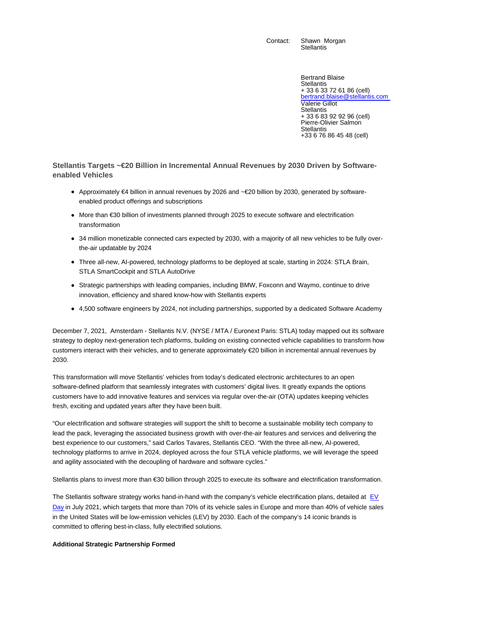Contact: Shawn Morgan **Stellantis** 

> Bertrand Blaise **Stellantis** + 33 6 33 72 61 86 (cell) bertrand.blaise@stellantis.com Valerie Gillot **Stellantis** + 33 6 83 92 92 96 (cell) Pierre-Olivier Salmon **Stellantis** +33 6 76 86 45 48 (cell)

**Stellantis Targets ~€20 Billion in Incremental Annual Revenues by 2030 Driven by Softwareenabled Vehicles**

- Approximately €4 billion in annual revenues by 2026 and ~€20 billion by 2030, generated by softwareenabled product offerings and subscriptions
- More than €30 billion of investments planned through 2025 to execute software and electrification transformation
- 34 million monetizable connected cars expected by 2030, with a majority of all new vehicles to be fully overthe-air updatable by 2024
- Three all-new, AI-powered, technology platforms to be deployed at scale, starting in 2024: STLA Brain, STLA SmartCockpit and STLA AutoDrive
- Strategic partnerships with leading companies, including BMW, Foxconn and Waymo, continue to drive innovation, efficiency and shared know-how with Stellantis experts
- 4,500 software engineers by 2024, not including partnerships, supported by a dedicated Software Academy

December 7, 2021, Amsterdam - Stellantis N.V. (NYSE / MTA / Euronext Paris: STLA) today mapped out its software strategy to deploy next-generation tech platforms, building on existing connected vehicle capabilities to transform how customers interact with their vehicles, and to generate approximately €20 billion in incremental annual revenues by 2030.

This transformation will move Stellantis' vehicles from today's dedicated electronic architectures to an open software-defined platform that seamlessly integrates with customers' digital lives. It greatly expands the options customers have to add innovative features and services via regular over-the-air (OTA) updates keeping vehicles fresh, exciting and updated years after they have been built.

"Our electrification and software strategies will support the shift to become a sustainable mobility tech company to lead the pack, leveraging the associated business growth with over-the-air features and services and delivering the best experience to our customers," said Carlos Tavares, Stellantis CEO. "With the three all-new, AI-powered, technology platforms to arrive in 2024, deployed across the four STLA vehicle platforms, we will leverage the speed and agility associated with the decoupling of hardware and software cycles."

Stellantis plans to invest more than €30 billion through 2025 to execute its software and electrification transformation.

The Stellantis software strategy works hand-in-hand with the company's vehicle electrification plans, detailed at EV Day in July 2021, which targets that more than 70% of its vehicle sales in Europe and more than 40% of vehicle sales in the United States will be low-emission vehicles (LEV) by 2030. Each of the company's 14 iconic brands is committed to offering best-in-class, fully electrified solutions.

## **Additional Strategic Partnership Formed**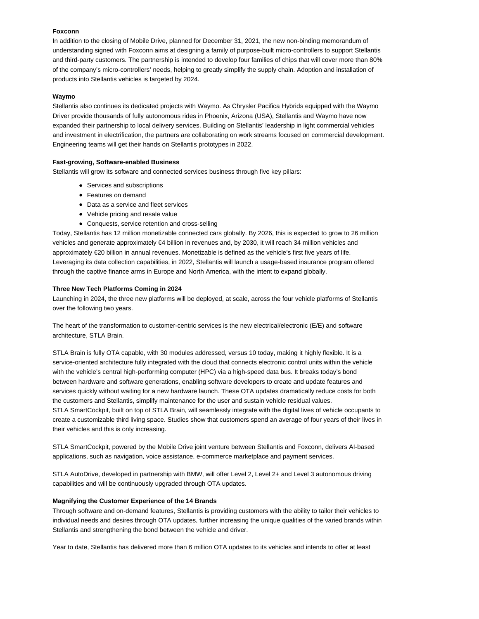## **Foxconn**

In addition to the closing of Mobile Drive, planned for December 31, 2021, the new non-binding memorandum of understanding signed with Foxconn aims at designing a family of purpose-built micro-controllers to support Stellantis and third-party customers. The partnership is intended to develop four families of chips that will cover more than 80% of the company's micro-controllers' needs, helping to greatly simplify the supply chain. Adoption and installation of products into Stellantis vehicles is targeted by 2024.

## **Waymo**

Stellantis also continues its dedicated projects with Waymo. As Chrysler Pacifica Hybrids equipped with the Waymo Driver provide thousands of fully autonomous rides in Phoenix, Arizona (USA), Stellantis and Waymo have now expanded their partnership to local delivery services. Building on Stellantis' leadership in light commercial vehicles and investment in electrification, the partners are collaborating on work streams focused on commercial development. Engineering teams will get their hands on Stellantis prototypes in 2022.

# **Fast-growing, Software-enabled Business**

Stellantis will grow its software and connected services business through five key pillars:

- Services and subscriptions
- Features on demand
- Data as a service and fleet services
- Vehicle pricing and resale value
- Conquests, service retention and cross-selling

Today, Stellantis has 12 million monetizable connected cars globally. By 2026, this is expected to grow to 26 million vehicles and generate approximately €4 billion in revenues and, by 2030, it will reach 34 million vehicles and approximately €20 billion in annual revenues. Monetizable is defined as the vehicle's first five years of life. Leveraging its data collection capabilities, in 2022, Stellantis will launch a usage-based insurance program offered through the captive finance arms in Europe and North America, with the intent to expand globally.

# **Three New Tech Platforms Coming in 2024**

Launching in 2024, the three new platforms will be deployed, at scale, across the four vehicle platforms of Stellantis over the following two years.

The heart of the transformation to customer-centric services is the new electrical/electronic (E/E) and software architecture, STLA Brain.

STLA Brain is fully OTA capable, with 30 modules addressed, versus 10 today, making it highly flexible. It is a service-oriented architecture fully integrated with the cloud that connects electronic control units within the vehicle with the vehicle's central high-performing computer (HPC) via a high-speed data bus. It breaks today's bond between hardware and software generations, enabling software developers to create and update features and services quickly without waiting for a new hardware launch. These OTA updates dramatically reduce costs for both the customers and Stellantis, simplify maintenance for the user and sustain vehicle residual values.

STLA SmartCockpit, built on top of STLA Brain, will seamlessly integrate with the digital lives of vehicle occupants to create a customizable third living space. Studies show that customers spend an average of four years of their lives in their vehicles and this is only increasing.

STLA SmartCockpit, powered by the Mobile Drive joint venture between Stellantis and Foxconn, delivers AI-based applications, such as navigation, voice assistance, e-commerce marketplace and payment services.

STLA AutoDrive, developed in partnership with BMW, will offer Level 2, Level 2+ and Level 3 autonomous driving capabilities and will be continuously upgraded through OTA updates.

## **Magnifying the Customer Experience of the 14 Brands**

Through software and on-demand features, Stellantis is providing customers with the ability to tailor their vehicles to individual needs and desires through OTA updates, further increasing the unique qualities of the varied brands within Stellantis and strengthening the bond between the vehicle and driver.

Year to date, Stellantis has delivered more than 6 million OTA updates to its vehicles and intends to offer at least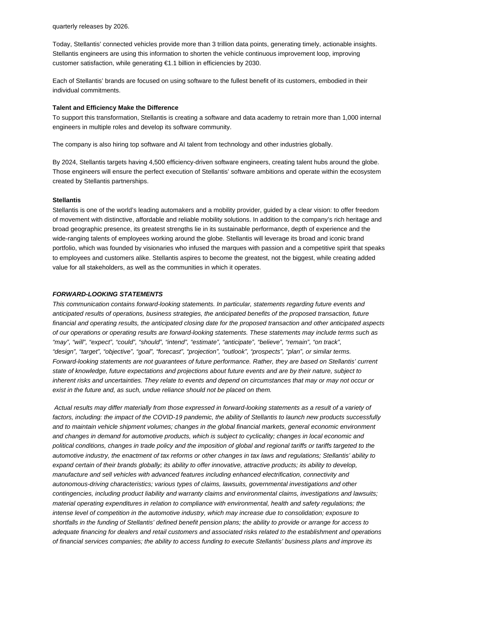Today, Stellantis' connected vehicles provide more than 3 trillion data points, generating timely, actionable insights. Stellantis engineers are using this information to shorten the vehicle continuous improvement loop, improving customer satisfaction, while generating €1.1 billion in efficiencies by 2030.

Each of Stellantis' brands are focused on using software to the fullest benefit of its customers, embodied in their individual commitments.

### **Talent and Efficiency Make the Difference**

To support this transformation, Stellantis is creating a software and data academy to retrain more than 1,000 internal engineers in multiple roles and develop its software community.

The company is also hiring top software and AI talent from technology and other industries globally.

By 2024, Stellantis targets having 4,500 efficiency-driven software engineers, creating talent hubs around the globe. Those engineers will ensure the perfect execution of Stellantis' software ambitions and operate within the ecosystem created by Stellantis partnerships.

#### **Stellantis**

Stellantis is one of the world's leading automakers and a mobility provider, guided by a clear vision: to offer freedom of movement with distinctive, affordable and reliable mobility solutions. In addition to the company's rich heritage and broad geographic presence, its greatest strengths lie in its sustainable performance, depth of experience and the wide-ranging talents of employees working around the globe. Stellantis will leverage its broad and iconic brand portfolio, which was founded by visionaries who infused the marques with passion and a competitive spirit that speaks to employees and customers alike. Stellantis aspires to become the greatest, not the biggest, while creating added value for all stakeholders, as well as the communities in which it operates.

#### **FORWARD-LOOKING STATEMENTS**

This communication contains forward-looking statements. In particular, statements regarding future events and anticipated results of operations, business strategies, the anticipated benefits of the proposed transaction, future financial and operating results, the anticipated closing date for the proposed transaction and other anticipated aspects of our operations or operating results are forward-looking statements. These statements may include terms such as "may", "will", "expect", "could", "should", "intend", "estimate", "anticipate", "believe", "remain", "on track", "design", "target", "objective", "goal", "forecast", "projection", "outlook", "prospects", "plan", or similar terms. Forward-looking statements are not guarantees of future performance. Rather, they are based on Stellantis' current state of knowledge, future expectations and projections about future events and are by their nature, subject to inherent risks and uncertainties. They relate to events and depend on circumstances that may or may not occur or exist in the future and, as such, undue reliance should not be placed on them.

 Actual results may differ materially from those expressed in forward-looking statements as a result of a variety of factors, including: the impact of the COVID-19 pandemic, the ability of Stellantis to launch new products successfully and to maintain vehicle shipment volumes; changes in the global financial markets, general economic environment and changes in demand for automotive products, which is subject to cyclicality; changes in local economic and political conditions, changes in trade policy and the imposition of global and regional tariffs or tariffs targeted to the automotive industry, the enactment of tax reforms or other changes in tax laws and regulations; Stellantis' ability to expand certain of their brands globally; its ability to offer innovative, attractive products; its ability to develop, manufacture and sell vehicles with advanced features including enhanced electrification, connectivity and autonomous-driving characteristics; various types of claims, lawsuits, governmental investigations and other contingencies, including product liability and warranty claims and environmental claims, investigations and lawsuits; material operating expenditures in relation to compliance with environmental, health and safety regulations; the intense level of competition in the automotive industry, which may increase due to consolidation; exposure to shortfalls in the funding of Stellantis' defined benefit pension plans; the ability to provide or arrange for access to adequate financing for dealers and retail customers and associated risks related to the establishment and operations of financial services companies; the ability to access funding to execute Stellantis' business plans and improve its